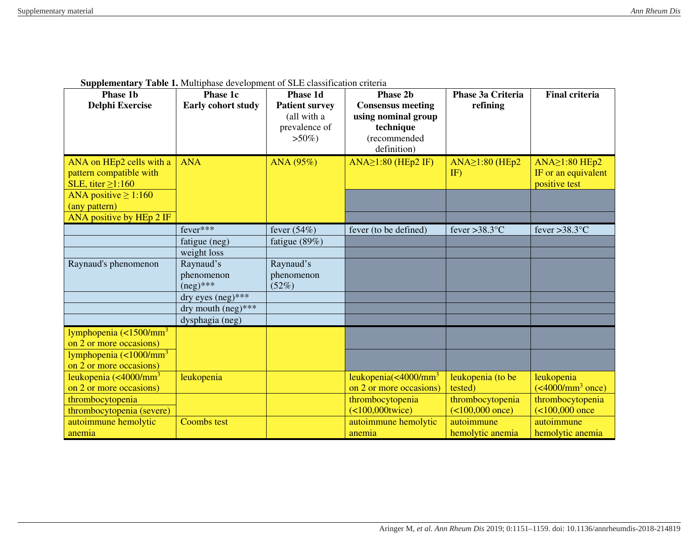|  | <b>Supplementary Table 1.</b> Multiphase development of SLE classification criteria |  |
|--|-------------------------------------------------------------------------------------|--|
|  |                                                                                     |  |

| <b>Phase 1b</b><br><b>Delphi Exercise</b>                                      | Phase 1c<br><b>Early cohort study</b>       | Phase 1d<br><b>Patient survey</b><br>(all with a<br>prevalence of<br>$>50\%)$ | <b>Phase 2b</b><br><b>Consensus meeting</b><br>using nominal group<br>technique<br>(recommended<br>definition) | Phase 3a Criteria<br>refining     | <b>Final criteria</b>                                 |
|--------------------------------------------------------------------------------|---------------------------------------------|-------------------------------------------------------------------------------|----------------------------------------------------------------------------------------------------------------|-----------------------------------|-------------------------------------------------------|
| ANA on HEp2 cells with a<br>pattern compatible with<br>SLE, titer $\geq$ 1:160 | <b>ANA</b>                                  | ANA (95%)                                                                     | $ANA \ge 1:80$ (HEp2 IF)                                                                                       | $ANA \ge 1:80$ (HEp2<br>IF)       | ANA≥1:80 HEp2<br>IF or an equivalent<br>positive test |
| ANA positive $\geq$ 1:160<br>(any pattern)                                     |                                             |                                                                               |                                                                                                                |                                   |                                                       |
| ANA positive by HEp 2 IF                                                       | fever***                                    |                                                                               |                                                                                                                |                                   |                                                       |
|                                                                                |                                             | fever $(54%)$                                                                 | fever (to be defined)                                                                                          | fever > 38.3 $\mathrm{^{\circ}C}$ | fever $>38.3$ °C                                      |
|                                                                                | fatigue (neg)                               | fatigue $(89\%)$                                                              |                                                                                                                |                                   |                                                       |
|                                                                                | weight loss                                 |                                                                               |                                                                                                                |                                   |                                                       |
| Raynaud's phenomenon                                                           | Raynaud's                                   | Raynaud's                                                                     |                                                                                                                |                                   |                                                       |
|                                                                                | phenomenon<br>$(neg)$ ***                   | phenomenon<br>(52%)                                                           |                                                                                                                |                                   |                                                       |
|                                                                                | $\frac{dy}{dx}$ eyes $(\frac{neg}{x^{**}})$ |                                                                               |                                                                                                                |                                   |                                                       |
|                                                                                | dry mouth $(neg)$ ***                       |                                                                               |                                                                                                                |                                   |                                                       |
|                                                                                | dysphagia (neg)                             |                                                                               |                                                                                                                |                                   |                                                       |
| lymphopenia $\left($ <1500/mm <sup>3</sup>                                     |                                             |                                                                               |                                                                                                                |                                   |                                                       |
| on 2 or more occasions)                                                        |                                             |                                                                               |                                                                                                                |                                   |                                                       |
| lymphopenia $\left($ <1000/mm <sup>3</sup>                                     |                                             |                                                                               |                                                                                                                |                                   |                                                       |
| on 2 or more occasions)                                                        |                                             |                                                                               |                                                                                                                |                                   |                                                       |
| leukopenia (<4000/mm <sup>3</sup>                                              | leukopenia                                  |                                                                               | leukopenia $\left  \frac{\text{4000}}{\text{mm}^3} \right $                                                    | leukopenia (to be                 | leukopenia                                            |
| on 2 or more occasions)                                                        |                                             |                                                                               | on 2 or more occasions)                                                                                        | tested)                           | $\sqrt{(4000/\text{mm}^3 \text{ once})}$              |
| thrombocytopenia                                                               |                                             |                                                                               | thrombocytopenia                                                                                               | thrombocytopenia                  | thrombocytopenia                                      |
| thrombocytopenia (severe)                                                      |                                             |                                                                               | $($ <100,000twice)                                                                                             | $($ <100,000 once)                | $($ <100,000 once                                     |
| autoimmune hemolytic                                                           | <b>Coombs test</b>                          |                                                                               | autoimmune hemolytic                                                                                           | autoimmune                        | autoimmune                                            |
| anemia                                                                         |                                             |                                                                               | anemia                                                                                                         | hemolytic anemia                  | hemolytic anemia                                      |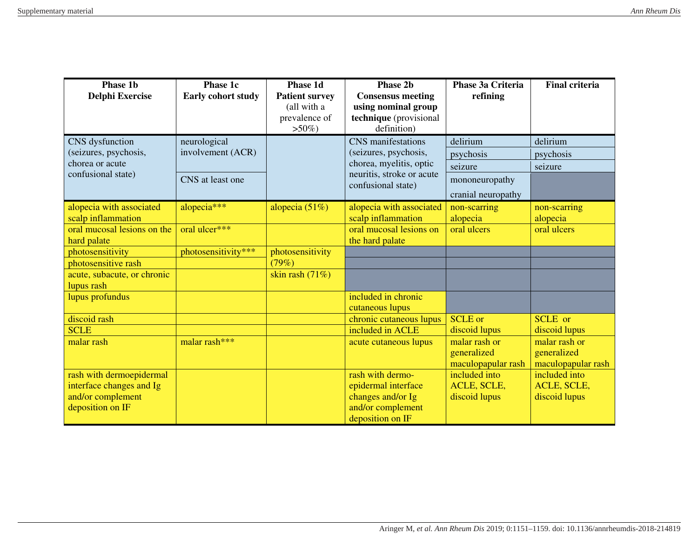| <b>Phase 1b</b><br><b>Delphi Exercise</b>  | Phase 1c<br>Early cohort study | Phase 1d<br><b>Patient survey</b> | <b>Phase 2b</b><br><b>Consensus meeting</b>          | Phase 3a Criteria<br>refining | <b>Final criteria</b>           |
|--------------------------------------------|--------------------------------|-----------------------------------|------------------------------------------------------|-------------------------------|---------------------------------|
|                                            |                                | (all with a<br>prevalence of      | using nominal group<br>technique (provisional        |                               |                                 |
|                                            |                                | $>50\%$ )                         | definition)                                          |                               |                                 |
| CNS dysfunction                            | neurological                   |                                   | <b>CNS</b> manifestations                            | delirium                      | delirium                        |
| (seizures, psychosis,<br>chorea or acute   | involvement (ACR)              |                                   | (seizures, psychosis,                                | psychosis                     | psychosis                       |
| confusional state)                         |                                |                                   | chorea, myelitis, optic<br>neuritis, stroke or acute | seizure                       | seizure                         |
|                                            | CNS at least one               |                                   | confusional state)                                   | mononeuropathy                |                                 |
|                                            |                                |                                   |                                                      | cranial neuropathy            |                                 |
| alopecia with associated                   | alopecia***                    | alopecia $(51\%)$                 | alopecia with associated                             | non-scarring                  | non-scarring                    |
| scalp inflammation                         |                                |                                   | scalp inflammation                                   | alopecia                      | alopecia                        |
| oral mucosal lesions on the<br>hard palate | oral ulcer***                  |                                   | oral mucosal lesions on<br>the hard palate           | oral ulcers                   | oral ulcers                     |
| photosensitivity                           | photosensitivity***            | photosensitivity                  |                                                      |                               |                                 |
| photosensitive rash                        |                                | (79%)                             |                                                      |                               |                                 |
| acute, subacute, or chronic                |                                | skin rash $(71%)$                 |                                                      |                               |                                 |
| lupus rash                                 |                                |                                   |                                                      |                               |                                 |
| lupus profundus                            |                                |                                   | included in chronic                                  |                               |                                 |
|                                            |                                |                                   | cutaneous lupus                                      | <b>SCLE</b> or                |                                 |
| discoid rash<br><b>SCLE</b>                |                                |                                   | chronic cutaneous lupus<br>included in ACLE          | discoid lupus                 | <b>SCLE</b> or<br>discoid lupus |
| malar rash                                 | malar rash***                  |                                   | acute cutaneous lupus                                | malar rash or                 | malar rash or                   |
|                                            |                                |                                   |                                                      | generalized                   | generalized                     |
|                                            |                                |                                   |                                                      | maculopapular rash            | maculopapular rash              |
| rash with dermoepidermal                   |                                |                                   | rash with dermo-                                     | included into                 | included into                   |
| interface changes and Ig                   |                                |                                   | epidermal interface                                  | ACLE, SCLE,                   | ACLE, SCLE,                     |
| and/or complement                          |                                |                                   | changes and/or Ig                                    | discoid lupus                 | discoid lupus                   |
| deposition on IF                           |                                |                                   | and/or complement                                    |                               |                                 |
|                                            |                                |                                   | deposition on IF                                     |                               |                                 |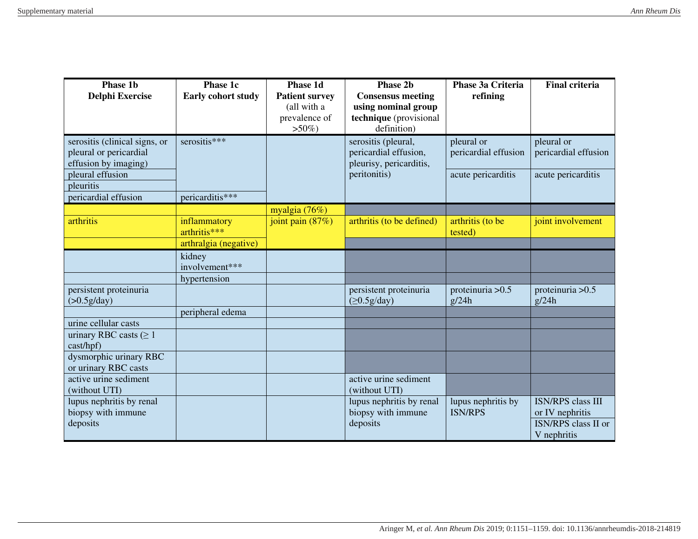| <b>Phase 1b</b><br><b>Delphi Exercise</b>                                                                                                | Phase 1c<br>Early cohort study                        | Phase 1d<br><b>Patient survey</b><br>(all with a<br>prevalence of<br>$>50\%$ ) | Phase 2b<br><b>Consensus meeting</b><br>using nominal group<br>technique (provisional<br>definition) | Phase 3a Criteria<br>refining                            | <b>Final criteria</b>                                                                    |
|------------------------------------------------------------------------------------------------------------------------------------------|-------------------------------------------------------|--------------------------------------------------------------------------------|------------------------------------------------------------------------------------------------------|----------------------------------------------------------|------------------------------------------------------------------------------------------|
| serositis (clinical signs, or<br>pleural or pericardial<br>effusion by imaging)<br>pleural effusion<br>pleuritis<br>pericardial effusion | serositis***<br>pericarditis***                       |                                                                                | serositis (pleural,<br>pericardial effusion,<br>pleurisy, pericarditis,<br>peritonitis)              | pleural or<br>pericardial effusion<br>acute pericarditis | pleural or<br>pericardial effusion<br>acute pericarditis                                 |
|                                                                                                                                          |                                                       | myalgia (76%)                                                                  |                                                                                                      |                                                          |                                                                                          |
| arthritis                                                                                                                                | inflammatory<br>arthritis***<br>arthralgia (negative) | joint pain $(87%)$                                                             | arthritis (to be defined)                                                                            | arthritis (to be<br>tested)                              | joint involvement                                                                        |
|                                                                                                                                          | kidney<br>involvement***                              |                                                                                |                                                                                                      |                                                          |                                                                                          |
|                                                                                                                                          | hypertension                                          |                                                                                |                                                                                                      |                                                          |                                                                                          |
| persistent proteinuria<br>(>0.5g/day)                                                                                                    |                                                       |                                                                                | persistent proteinuria<br>(≥0.5g/day)                                                                | proteinuria > 0.5<br>g/24h                               | proteinuria > 0.5<br>g/24h                                                               |
|                                                                                                                                          | peripheral edema                                      |                                                                                |                                                                                                      |                                                          |                                                                                          |
| urine cellular casts<br>urinary RBC casts ( $\geq 1$<br>cast/hpf)                                                                        |                                                       |                                                                                |                                                                                                      |                                                          |                                                                                          |
| dysmorphic urinary RBC<br>or urinary RBC casts                                                                                           |                                                       |                                                                                |                                                                                                      |                                                          |                                                                                          |
| active urine sediment<br>(without UTI)                                                                                                   |                                                       |                                                                                | active urine sediment<br>(without UTI)                                                               |                                                          |                                                                                          |
| lupus nephritis by renal<br>biopsy with immune<br>deposits                                                                               |                                                       |                                                                                | lupus nephritis by renal<br>biopsy with immune<br>deposits                                           | lupus nephritis by<br><b>ISN/RPS</b>                     | <b>ISN/RPS</b> class III<br>or IV nephritis<br><b>ISN/RPS</b> class II or<br>V nephritis |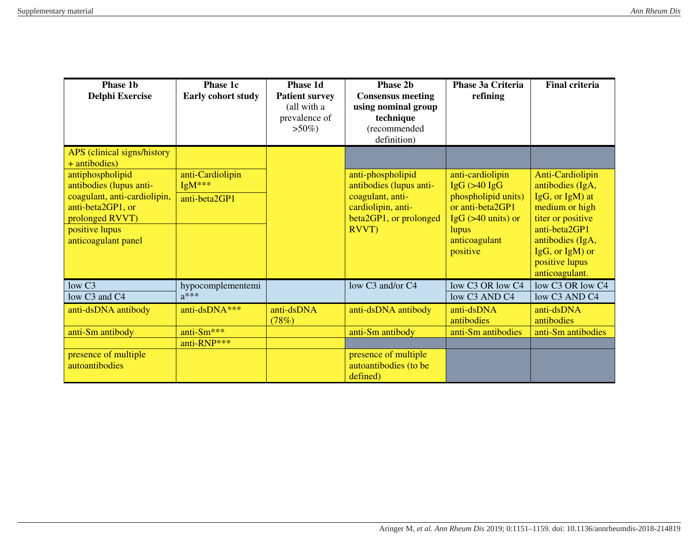| Phase 1b<br><b>Delphi Exercise</b>                                                                                  | Phase 1c<br>Early cohort study        | Phase 1d<br><b>Patient survey</b><br>(all with a<br>prevalence of<br>$>50\%)$ | <b>Phase 2b</b><br><b>Consensus meeting</b><br>using nominal group<br>technique<br>(recommended<br>definition) | Phase 3a Criteria<br>refining                                    | <b>Final criteria</b>                                                                          |
|---------------------------------------------------------------------------------------------------------------------|---------------------------------------|-------------------------------------------------------------------------------|----------------------------------------------------------------------------------------------------------------|------------------------------------------------------------------|------------------------------------------------------------------------------------------------|
| APS (clinical signs/history<br>+ antibodies)                                                                        |                                       |                                                                               |                                                                                                                |                                                                  |                                                                                                |
| antiphospholipid<br>antibodies (lupus anti-<br>coagulant, anti-cardiolipin,<br>anti-beta2GP1, or<br>prolonged RVVT) | anti-Cardiolipin<br>$IgM***$          |                                                                               | anti-phospholipid<br>antibodies (lupus anti-                                                                   | anti-cardiolipin<br>$IgG$ ( $>40$ $IgG$                          | Anti-Cardiolipin<br>antibodies (IgA,                                                           |
|                                                                                                                     | anti-beta2GP1                         |                                                                               | coagulant, anti-<br>cardiolipin, anti-<br>beta2GP1, or prolonged                                               | phospholipid units)<br>or anti-beta2GP1<br>IgG $($ >40 units) or | IgG, or IgM) at<br>medium or high<br>titer or positive                                         |
| positive lupus<br>anticoagulant panel                                                                               |                                       |                                                                               | RVVT)                                                                                                          | lupus<br>anticoagulant<br>positive                               | anti-beta2GP1<br>antibodies (IgA,<br>$IgG$ , or $IgM$ ) or<br>positive lupus<br>anticoagulant. |
| low C <sub>3</sub><br>low C3 and C4                                                                                 | hypocomplementemi<br>$a***$           |                                                                               | low C3 and/or C4                                                                                               | low C3 OR low C4<br>low C3 AND C4                                | low C <sub>3</sub> OR low C <sub>4</sub><br>low C3 AND C4                                      |
| anti-dsDNA antibody                                                                                                 | anti-dsDNA <sup>***</sup>             | anti-dsDNA<br>(78%)                                                           | anti-dsDNA antibody                                                                                            | anti-dsDNA<br>antibodies                                         | anti-dsDNA<br>antibodies                                                                       |
| anti-Sm antibody                                                                                                    | anti-Sm <sup>***</sup><br>anti-RNP*** |                                                                               | anti-Sm antibody                                                                                               | anti-Sm antibodies                                               | anti-Sm antibodies                                                                             |
| presence of multiple<br>autoantibodies                                                                              |                                       |                                                                               | presence of multiple<br>autoantibodies (to be<br>defined)                                                      |                                                                  |                                                                                                |